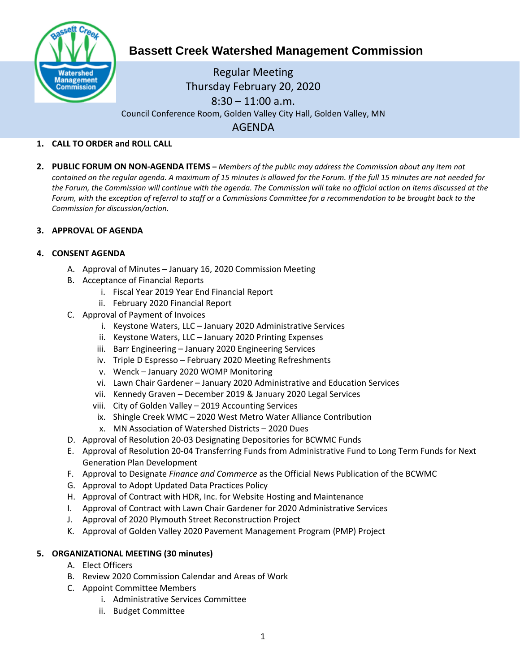

# **Bassett Creek Watershed Management Commission**

Regular Meeting Thursday February 20, 2020  $8:30 - 11:00$  a.m. Council Conference Room, Golden Valley City Hall, Golden Valley, MN AGENDA

### **1. CALL TO ORDER and ROLL CALL**

**2. PUBLIC FORUM ON NON-AGENDA ITEMS –** *Members of the public may address the Commission about any item not contained on the regular agenda. A maximum of 15 minutes is allowed for the Forum. If the full 15 minutes are not needed for the Forum, the Commission will continue with the agenda. The Commission will take no official action on items discussed at the Forum, with the exception of referral to staff or a Commissions Committee for a recommendation to be brought back to the Commission for discussion/action.*

#### **3. APPROVAL OF AGENDA**

#### **4. CONSENT AGENDA**

- A. Approval of Minutes January 16, 2020 Commission Meeting
- B. Acceptance of Financial Reports
	- i. Fiscal Year 2019 Year End Financial Report
	- ii. February 2020 Financial Report
- C. Approval of Payment of Invoices
	- i. Keystone Waters, LLC January 2020 Administrative Services
	- ii. Keystone Waters, LLC January 2020 Printing Expenses
	- iii. Barr Engineering January 2020 Engineering Services
	- iv. Triple D Espresso February 2020 Meeting Refreshments
	- v. Wenck January 2020 WOMP Monitoring
	- vi. Lawn Chair Gardener January 2020 Administrative and Education Services
	- vii. Kennedy Graven December 2019 & January 2020 Legal Services
	- viii. City of Golden Valley 2019 Accounting Services
	- ix. Shingle Creek WMC 2020 West Metro Water Alliance Contribution
	- x. MN Association of Watershed Districts 2020 Dues
- D. Approval of Resolution 20-03 Designating Depositories for BCWMC Funds
- E. Approval of Resolution 20-04 Transferring Funds from Administrative Fund to Long Term Funds for Next Generation Plan Development
- F. Approval to Designate *Finance and Commerce* as the Official News Publication of the BCWMC
- G. Approval to Adopt Updated Data Practices Policy
- H. Approval of Contract with HDR, Inc. for Website Hosting and Maintenance
- I. Approval of Contract with Lawn Chair Gardener for 2020 Administrative Services
- J. Approval of 2020 Plymouth Street Reconstruction Project
- K. Approval of Golden Valley 2020 Pavement Management Program (PMP) Project

#### **5. ORGANIZATIONAL MEETING (30 minutes)**

- A. Elect Officers
- B. Review 2020 Commission Calendar and Areas of Work
- C. Appoint Committee Members
	- i. Administrative Services Committee
	- ii. Budget Committee